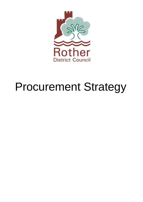

# Procurement Strategy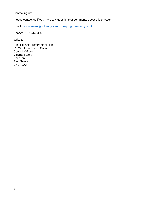Contacting us:

Please contact us if you have any questions or comments about this strategy.

Email: [procurement@rother.gov.uk](mailto:%20procurement@rother.gov.uk) or [esph@wealden.gov.uk](mailto:esph@wealden.gov.uk)

Phone: 01323 443350

Write to:

East Sussex Procurement Hub c/o Wealden District Council Council Offices Vicarage Lane Hailsham East Sussex BN27 2AX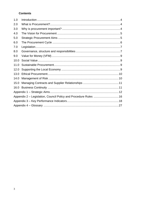# **Contents**

| 1.0  |                                                                  |  |  |  |
|------|------------------------------------------------------------------|--|--|--|
| 2.0  |                                                                  |  |  |  |
| 3.0  |                                                                  |  |  |  |
| 4.0  |                                                                  |  |  |  |
| 5.0  |                                                                  |  |  |  |
| 6.0  |                                                                  |  |  |  |
| 7.0  |                                                                  |  |  |  |
| 8.0  |                                                                  |  |  |  |
| 9.0  |                                                                  |  |  |  |
| 10.0 |                                                                  |  |  |  |
| 11.0 |                                                                  |  |  |  |
| 12.0 |                                                                  |  |  |  |
| 13.0 |                                                                  |  |  |  |
| 14.0 |                                                                  |  |  |  |
| 15.0 |                                                                  |  |  |  |
| 16.0 |                                                                  |  |  |  |
|      |                                                                  |  |  |  |
|      | Appendix 2 – Legislation, Council Policy and Procedure Rules  16 |  |  |  |
|      |                                                                  |  |  |  |
|      |                                                                  |  |  |  |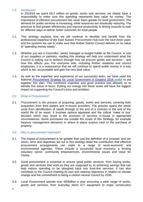# <span id="page-3-0"></span>1.0 Introduction

In 2018/19 we spent £6.2 million on goods, works and services; we clearly have a responsibility to make sure this spending represents best value for money. The importance of effective procurement has never been greater for local government. The demand for public services is increasing, while resources are drastically reducing. The pressure to find greater efficiencies and improve productivity is driving councils to look for different ways to deliver better outcomes for local people.

- 1.1. This strategy explains how we will continue to develop and benefit from the professional expertise of the East Sussex Procurement Hub over the next three years and the systems we use to make sure that Rother District Council delivers on its value of "spending money wisely".
- 1.2. Whether you are a Councillor, senior manager or budget holder at the Council, or one of our suppliers or partners, reading this strategy will help you understand what the Council is setting out to achieve through how we procure goods and services – and how this affects you. For everyone else, including Rother residents and council employees, it is a reassurance that we will continue to spend public money in a way which is fair, accountable and gets the very best value.
- 1.3. As well as the expertise and experience of our successful team, we have used the National Procurement Strategy for Local Government in England 2018 toolkit to put together this plan. This combined expertise and good practice has allowed us to identify five areas of focus. Putting our energy into these areas will have the biggest impact on supporting the Council's aims and ambition.

# <span id="page-3-1"></span>2.0 What is Procurement?

2.1. Procurement is the process of acquiring, goods, works and services, covering both acquisition from third parties and in-house providers. The process spans the whole cycle from identification of needs through to the end of a contract or the end of the useful life of an asset. It involves options appraisal and the critical 'make or buy' decision which may result in the provision of services in-house in appropriate circumstances. Some purchases are outside the scope of this Strategy, for example treasury management decisions in where to place surplus cash or the purchase of property.

# <span id="page-3-2"></span>3.0 Why is procurement important?

- 3.1. The impact of procurement is far greater than just the definition of a 'process' and our vision, aims and objectives set out in this strategy detail the contribution that effective procurement arrangements can make to a range of socio-economic and environmental agendas. These include a successful local economy, a thriving voluntary sector, community empowerment, environmental issues and value for money.
- 3.2. Good procurement is essential to ensure good public services, from buying works, goods and services that work as they are supposed to, to achieving savings that can help reduce spending or be ploughed back into front-line services. It can also contribute to the Council meeting its own and national objectives in relation to climate change and the commitment to being a carbon neutral Council by 2030.
- 3.3. Local Government spends over £60billion a year procuring a wide range of works, goods and services, from everyday items ICT equipment to major construction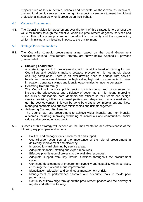projects such as leisure centres, schools and hospitals. All those who, as taxpayers, use and fund public services have the right to expect government to meet the highest professional standards when it procures on their behalf.

# <span id="page-4-0"></span>4.0 Vision for Procurement

4.1. The Council's vision for procurement over the term of this strategy is to demonstrate value for money through the effective whole life procurement of goods, services and works. This will ensure procurement benefits the community and the organisation, whilst minimising and mitigating impacts to the environment.

# <span id="page-4-1"></span>5.0 Strategic Procurement Aims

5.1. The Council's strategic procurement aims, based on the Local Government Association National Procurement Strategy, are shown below. Appendix 1 provides greater detail:

# • **Showing Leadership**

A strategic approach to procurement should be at the heart of thinking for our Councillors and decisions makers because procurement is not merely about ensuring compliance. There is an ever-growing need to engage with service heads and procurement teams on high value, high risk procurements to drive innovation, generate savings and identify opportunities for income generation.

# • **Behaving Commercially**

The Council will improve public sector commissioning and procurement to increase the effectiveness and efficiency of government. This means improving the skills of our leaders, both Members and officers so their teams can design service provision, influence external parties, and shape and manage markets to get the best outcomes. This can be done by creating commercial opportunities, managing contracts and supplier relationships and risk management.

# • **Achieving Community Benefits**

The Council can use procurement to achieve wider financial and non-financial outcomes, including improving wellbeing of individuals and communities, social value and improved environment.

- 5.2. Success of this strategy will depend on the implementation and effectiveness of the following key principles and actions:
	- Political and management endorsement and support.
	- Council-wide recognition of the importance of the role of procurement in delivering improvement and efficiency.
	- Improved forward planning by service areas.
	- Adequate financial, staffing and expert resources.
	- Effective prioritisation of projects to the available resources.
	- Adequate support from key internal functions throughout the procurement cycle.
	- Continued development of procurement capacity and capability within services, encouragement of continuous improvement.
	- Identification, allocation and continuous management of risk.
	- Management of performance shortfalls and adequate tools to tackle poor performance.
	- Continuity of knowledge throughout the procurement phases and the delivery of regular and effective training.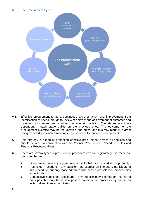<span id="page-5-0"></span>

- 6.1. Effective procurement forms a continuous cycle of action and improvement, from identification of needs through to review of delivery and achievement of outcomes and includes procurement and contract management activity. The stages are interdependent – each stage builds on the previous ones. The outcome for the procurement exercise may not be known at the outset and this may result in a grant being awarded, provision remaining in-house or a fully tendered procurement.
- 6.2. This strategy is aimed at promoting effective procurement across all services and should be read in conjunction with the Council Procurement Procedure Rules and Financial Procedure Rules.
- 6.3. There are several types of procurement procedures we can legitimately use, these are described below:
	- Open Procedure any supplier may submit a bid for an advertised opportunity.
	- Restricted Procedure any supplier may express an interest to participate in this procedure, but only those suppliers who pass a pre-selection process may submit bids.
	- Competitive negotiated procedure  $-$  any supplier may express an interest to participate but only those who pass a pre-selection process may submit an initial bid and then to negotiate.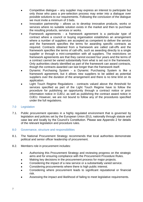- Competitive dialogue any supplier may express an interest to participate but only those who pass a pre-selection process may enter into a dialogue over possible solutions to our requirements. Following the conclusion of the dialogue we must invite a minimum of 3 bids.
- Innovation partnership allows us to develop innovative products, works or services where no suitable solution exists in the market and then to purchase the resulting products, services or works.
- Framework agreements a framework agreement is a particular type of contract where a council or buying organisation establishes an arrangement where a number of suppliers are accepted as competent to deliver the service and the framework specifies the terms for awarding specific contracts as required. Contracts obtained from a framework are called call-offs and the framework specifies the terms of call-offs, such as awarding directly to a single supplier or through a mini-competition with all suppliers. The restrictions on framework agreements are that they cannot exceed four years and the terms of a contract cannot be varied substantially from what is set out in the framework. Only authorities clearly identified as part of the framework can award contracts, though the contracts awarded can last longer than the framework itself.
- Dynamic Purchasing System a Dynamic Purchasing System is like a framework agreement, but it allows new suppliers to be added as potential suppliers over the duration of the arrangement and there is no time limit on its application.
- Light Touch Regime Regulations contracts valued above the threshold for services specified as part of the Light Touch Regime have to follow the procedure for publishing an opportunity through a contract notice or prior information notice in OJEU, as well as publishing the contract award notice in OJEU. However, we are not bound to follow any of the procedures specified under the full regulations.

# <span id="page-6-0"></span>7.0 Legislation

7.1. Public procurement operates in a highly regulated environment that is governed by legislation and policies set by the European Union (EU), nationally through statute and case law and locally by the Council's Constitution. Please see Appendix 2 for details of the relevant legislation and procedure rules.

# <span id="page-6-1"></span>8.0 Governance, structure and responsibilities

- 8.1. The National Procurement Strategy recommends that local authorities demonstrate political and senior officer leadership of procurement.
- 8.2. Members role in procurement includes:
	- Authorising this Procurement Strategy and reviewing progress on the strategic aims and for ensuring compliance with the Procurement Procedure Rules.
	- Making key decisions in the procurement process for major projects.
	- Considering the impact of a new service or a substantially varied service.
	- Considering procurements where there is high public interest.
	- Considering where procurement leads to significant reputational or financial risk.
	- Assessing the impact and likelihood of failing to meet legislative requirements.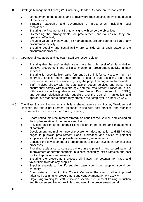- 8.3. Strategic Management Team (SMT) including Heads of Service are responsible for:
	- Management of the strategy and to review progress against the implementation of the actions.
	- Strategic leadership and governance of procurement including legal compliance.
	- Ensuring the Procurement Strategy aligns with corporate objectives.
	- Overseeing the arrangements for procurement and to ensure they are operating effectively.
	- Ensuring value for money and risk management are considered as part of any procurement activity.
	- Ensuring equality and sustainability are considered at each stage of the procurement process.
- 8.4. Operational Managers and Relevant Staff are responsible for:
	- Ensuring that the staff in their areas have the right level of skills to deliver effective procurement and will also monitor all procurement activity in their services.
	- Ensuring for specific, high value (current OJEU limit for services) or high risk contracts, project teams are formed to ensure that technical, legal and commercial issues are considered, using the project management framework.
	- Staff involved directly with the purchase of goods, services and works must ensure they comply with this strategy, and the Procurement Procedure Rules, with reference to the guidance from East Sussex Procurement Hub (ESPH); and conduct relationships with suppliers and the Council in an ethical and appropriate manner to ensure they promote their employer in a positive way.
- 8.5. The East Sussex Procurement Hub is a shared service for Rother, Wealden and Hastings and offers procurement guidance in line with best practice, and monitors procurement activity across the Council, including:
	- Coordinating this procurement strategy on behalf of the Council, and leading on the implementation of the procurement aims.
	- Providing assistance to contract client officers in the control and management of contracts.
	- Development and maintenance of procurement documentation and ESPH web pages to publicise procurement plans, information and advice to potential suppliers and staff; to comply with transparency requirements.
	- Continue the development of e-procurement to deliver savings in transactional processes.
	- Providing assistance to contract owners in the planning and co-ordination of improvement of current contracts, business continuity, exit strategies and post contract appraisals and reviews.
	- Ensuring the procurement process eliminates the potential for fraud and favouritism towards any supplier.
	- Supplier analysis to identify supplier base, spend per supplier, spend per category.
	- Coordinate and monitor the Council Contracts Register to allow improved advanced planning for procurement and contract management activity.
	- Organising training for staff, to include specific procurement training, induction and Procurement Procedure Rules, and use of the procurement portal.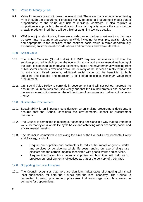#### <span id="page-8-0"></span>9.0 Value for Money (VFM)

- 9.1. Value for money does not mean the lowest cost. There are many aspects to achieving VFM through the procurement process; mainly to select a procurement model that is proportionate to the value and risk of individual contracts. It also requires a proportionate approach to the evaluation of cost and quality; where the costs can be broadly predetermined there will be a higher weighting towards quality.
- 9.2. VFM is not just about price, there are a wide range of other considerations that may be taken into account when assessing VFM, including for example, quality relevant and appropriate to the specifics of the contract; social value in terms of community experience, environmental considerations and outcomes and whole life value.

# <span id="page-8-1"></span>10.0 Social Value

- 10.1. The Public Services (Social Value) Act 2012 requires consideration of how the services procured might improve the economic, social and environmental well-being of the area. It is defined as improving economic, social and environmental wellbeing from public sector contracts over and above the delivery of the services directly required at no extra cost. Used properly, additional social value can be beneficial to both suppliers and councils and represent a joint effort to exploit maximum value from procurement.
- 10.2. Our Social Value Policy is currently in development and will set out our approach to ensure that all resources are used wisely and that the Council protects and enhances the environment whilst ensuring the efficient use of resources and delivery of value for money.

#### <span id="page-8-2"></span>11.0 Sustainable Procurement

- 11.1. Sustainability is an important consideration when making procurement decisions. It ensures that the Council considers the environmental impact of procurement decisions.
- 11.2. The Council is committed to making our spending decisions in a way that delivers both value for money on a whole life cycle basis, and achieving wider economic, social and environmental benefits.
- 11.3. The Council is committed to achieving the aims of the Council's Environmental Policy and Strategy, and will:
	- Require our suppliers and contractors to reduce the impact of goods, works and services by considering whole life costs; ending our use of single use plastics; and the carbon impacts associated with goods works and services.
	- Require information from potential suppliers on how they will help us to progress our environmental objectives as part of the delivery of a contract.

# <span id="page-8-3"></span>12.0 Supporting the Local Economy

12.1. The Council recognises that there are significant advantages of engaging with small local businesses, for both the Council and the local economy. The Council is committed to using procurement processes that encourage such businesses to compete for opportunities.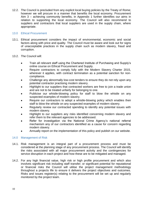12.2. The Council is precluded from any explicit local buying policies by the Treaty of Rome; however we will procure in a manner that benefits the local economy. Procurement Aim 3 – achieving community benefits, in Appendix 1 further identifies our aims in relation to supporting the local economy. The Council will also recommend to suppliers and contractors that local suppliers are used in the supply chain, where appropriate.

# <span id="page-9-0"></span>13.0 Ethical Procurement

- 13.1. Ethical procurement considers the impact of environmental, economic and social factors along with price and quality. The Council must be aware and look out for signs of unacceptable practices in the supply chain such as modern slavery, fraud and corruption.
- 13.2. The Council will:
	- Train all relevant staff using the Chartered Institute of Purchasing and Supply's online course on Ethical Procurement and Supply.
	- Require contractors to comply fully with the Modern Slavery Charter 2015, wherever it applies, with contract termination as a potential sanction for noncompliance.
	- Challenge any abnormally low-cost tenders to ensure they do not rely upon any potential contractor practising modern slavery.
	- Highlight to our suppliers that contracted workers are free to join a trade union and are not to be treated unfairly for belonging to one.
	- Publicise our whistle-blowing policy for staff to blow the whistle on any suspected examples of modern slavery.
	- Require our contractors to adopt a whistle-blowing policy which enables their staff to blow the whistle on any suspected examples of modern slavery.
	- Regularly review our contracted spending to identify any potential issues with modern slavery.
	- Highlight to our suppliers any risks identified concerning modern slavery and refer them to the relevant agencies to be addressed.
	- Refer for investigation via the National Crime Agency's national referral mechanism any of our contractors identified as a cause for concern regarding modern slavery.
	- Annually report on the implementation of this policy and publish on our website.

# <span id="page-9-1"></span>14.0 Management of Risk

- 14.1. Risk management is an integral part of a procurement process and must be considered at the planning stage of any procurement process. The Council will identify the risks associated with all major procurement activity and the contingencies for service disruption in each project and how these are to be mitigated and managed.
- 14.2. For any high financial value, high risk or high profile procurement and which also involves significant risk including staff transfer; or significant potential for reputational or financial risks the Council will utilise the project management methodology throughout a projects life to ensure it delivers the project objectives and outcomes. Risks and issues register(s) relating to the procurement will be set up and regularly monitored by the project team.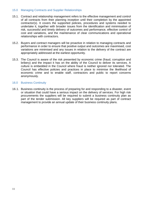# <span id="page-10-0"></span>15.0 Managing Contracts and Supplier Relationships

- 15.1. Contract and relationship management refers to the effective management and control of all contracts from their planning inception until their completion by the appointed contractor(s). It covers the supported policies, procedures and systems needed to undertake it, together with broader issues from the identification and minimisation of risk, successful and timely delivery of outcomes and performance, effective control of cost and variations, and the maintenance of clear communications and operational relationships with contractors.
- 15.2. Buyers and contract managers will be proactive in relation to managing contracts and performance in order to ensure that positive output and outcomes are maximised, cost variations are minimised and any issues in relation to the delivery of the contract are appropriately addressed at the earliest opportunity.
- 15.3. The Council is aware of the risk presented by economic crime (fraud, corruption and bribery) and the impact it has on the ability of the Council to deliver its services. A culture is embedded in the Council where fraud is neither ignored nor tolerated. The Council has effective policies and practices in place to minimise the likelihood of economic crime and to enable staff, contractors and public to report concerns anonymously.

# <span id="page-10-1"></span>16.0 Business Continuity

16.1. Business continuity is the process of preparing for and responding to a disaster, event or situation that could have a serious impact on the delivery of services. For high risk procurements the suppliers will be required to submit a business continuity plan as part of the tender submission. All key suppliers will be required as part of contract management to provide an annual update of their business continuity plans.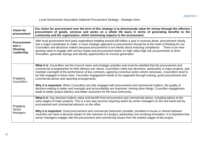# Local Government Association National Procurement Strategy – Strategic Aims

<span id="page-11-0"></span>

| <b>Vision for</b><br>procurement                                                                                                                                                                                                                                                                                                                                                                                                                                                                                                                                                                                                         | Our vision for procurement over the term of this strategy is to demonstrate value for money through the effective<br>procurement of goods, services and works on a whole life basis in terms of generating benefits to the<br>community and the organisation, whilst minimising impacts to the environment.                                                                                                                                                                                                                                                                                                                                                                                                                                                                                      |  |  |
|------------------------------------------------------------------------------------------------------------------------------------------------------------------------------------------------------------------------------------------------------------------------------------------------------------------------------------------------------------------------------------------------------------------------------------------------------------------------------------------------------------------------------------------------------------------------------------------------------------------------------------------|--------------------------------------------------------------------------------------------------------------------------------------------------------------------------------------------------------------------------------------------------------------------------------------------------------------------------------------------------------------------------------------------------------------------------------------------------------------------------------------------------------------------------------------------------------------------------------------------------------------------------------------------------------------------------------------------------------------------------------------------------------------------------------------------------|--|--|
| With local government third party expenditure totalling around £60 billion a year in revenue alone, procurement clearly<br><b>Procurement</b><br>has a major contribution to make. A more strategic approach to procurement should be at the heart of thinking for our<br>Aim 1 -<br>Councillors and decisions makers because procurement is not merely about ensuring compliance.  There is an ever-<br><b>Showing</b><br>growing need to engage with service heads and procurement teams on high value-high risk procurements to drive<br>Leadership<br>innovation, generate savings and identify opportunities for income generation. |                                                                                                                                                                                                                                                                                                                                                                                                                                                                                                                                                                                                                                                                                                                                                                                                  |  |  |
| Engaging<br><b>Councillors</b>                                                                                                                                                                                                                                                                                                                                                                                                                                                                                                                                                                                                           | What it is: Councillors set the Council vision and strategic priorities and must be satisfied that the procurement and<br>commercial arrangements for their delivery are robust. Councillors make key decisions, particularly in major projects, and<br>maintain oversight of the performance of key contracts, agreeing corrective action where necessary. Councillors need to<br>be fully engaged in these roles. Councillor engagement needs to be supported through training, good procurement and<br>commercial advice and reporting arrangements.<br>Why it is important: When Councillors are fully engaged with procurement and commercial matters, the quality of<br>decision-making is better and oversight and accountability are improved. Among other things, Councillor engagement |  |  |
|                                                                                                                                                                                                                                                                                                                                                                                                                                                                                                                                                                                                                                          | leads to better project delivery and better outcomes for the local community.                                                                                                                                                                                                                                                                                                                                                                                                                                                                                                                                                                                                                                                                                                                    |  |  |
| Engaging                                                                                                                                                                                                                                                                                                                                                                                                                                                                                                                                                                                                                                 | What it is: Key decision-makers value and benefit from procurement and commercial advice, including advice at the<br>early stages of major projects. This is a two-way process requiring action by senior managers on the one hand and by<br>procurement and commercial advisors on the other.                                                                                                                                                                                                                                                                                                                                                                                                                                                                                                   |  |  |
| Senior<br>Managers                                                                                                                                                                                                                                                                                                                                                                                                                                                                                                                                                                                                                       | Why it is important: Good procurement and commercial (wherever possible, provided in-house or shared between<br>councils) can have a decisive impact on the outcome of a project, particularly one involving innovation. It is important that<br>senior managers engage with the procurement and commercial issues from the earliest stages of the project.                                                                                                                                                                                                                                                                                                                                                                                                                                      |  |  |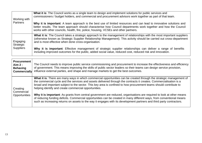| Working with<br>Partners                  | What it is: The Council works as a single team to design and implement solutions for public services and<br>commissioners / budget holders, and commercial and procurement advisors work together as part of that team.                                                                                                      |
|-------------------------------------------|------------------------------------------------------------------------------------------------------------------------------------------------------------------------------------------------------------------------------------------------------------------------------------------------------------------------------|
|                                           | Why it is important: A team approach is the best use of limited resources and can lead to innovative solutions and<br>better results. The team approach should characterise how Council departments work together and how the Council<br>works with other councils, health, fire, police, housing, VCSEs and other partners. |
| Engaging<br>Strategic<br><b>Suppliers</b> | What it is: The Council takes a strategic approach to the management of relationships with the most important suppliers<br>(otherwise known as Strategic Supplier Relationship Management). This activity should be carried out cross-department<br>and is most effective when done cross-organisation.                      |
|                                           | Why it is important: Effective management of strategic supplier relationships can deliver a range of benefits<br>including improved outcomes for the public, added social value, reduced cost, reduced risk and innovation.                                                                                                  |

| <b>Procurement</b><br>Aim 2 -<br><b>Behaving</b><br><b>Commercially</b> | The Council needs to improve public service commissioning and procurement to increase the effectiveness and efficiency<br>of government. This means improving the skills of public sector leaders so their teams can design service provision,<br>influence external parties, and shape and manage markets to get the best outcomes.                                                                                       |
|-------------------------------------------------------------------------|----------------------------------------------------------------------------------------------------------------------------------------------------------------------------------------------------------------------------------------------------------------------------------------------------------------------------------------------------------------------------------------------------------------------------|
| Creating<br>Commercial                                                  | What it is: There are many ways in which commercial opportunities can be created through the strategic management of<br>the commercial cycle and the services and assets delivered through the contracts it creates. Commercialisation is a<br>broad and important subject to the sector. This key area is confined to how procurement teams should contribute to<br>helping identify and create commercial opportunities. |
| Opportunities                                                           | Why it is important: As grants from central government are reduced, organisations are required to look at other means<br>of reducing funding deficits. Commercial opportunities can be created in many different ways, from conventional means<br>such as increasing returns on assets to the way it engages with its development partners and third party contractors.                                                    |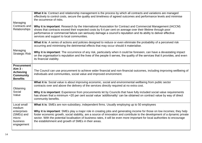| Managing<br>Contracts and<br>Relationships                                               | What it is: Contract and relationship management is the process by which all contracts and variations are managed<br>effectively to control costs, secure the quality and timeliness of agreed outcomes and performance levels and minimise<br>the occurrence of risks.<br>Why it is important: Research by the International Association for Contract and Commercial Management (IACCM)<br>shows that contracts exceed their expected costs by 9.4 per cent on average over their lifetime through poor<br>performance or commercial failure can seriously damage a council's reputation and its ability to deliver effective<br>services and support to local communities. |
|------------------------------------------------------------------------------------------|------------------------------------------------------------------------------------------------------------------------------------------------------------------------------------------------------------------------------------------------------------------------------------------------------------------------------------------------------------------------------------------------------------------------------------------------------------------------------------------------------------------------------------------------------------------------------------------------------------------------------------------------------------------------------|
| Managing<br><b>Strategic Risk</b>                                                        | What it is: A series of actions and policies designed to reduce or even eliminate the probability of a perceived risk<br>occurring and minimising the detrimental effects that may occur should it materialise.<br>Why it is important: The occurrence of any risk, particularly when it could be foreseen, can have a devastating impact<br>on the organisation's reputation and the lives of the people it serves, the quality of the services that it provides, and even<br>its financial viability.                                                                                                                                                                      |
| <b>Procurement</b><br>Aim 3 -<br><b>Achieving</b><br><b>Community</b><br><b>Benefits</b> | The Council can use procurement to achieve wider financial and non-financial outcomes, including improving wellbeing of<br>individuals and communities, social value and improved environment.                                                                                                                                                                                                                                                                                                                                                                                                                                                                               |
| Obtaining<br>Social<br>Value                                                             | What it is: Social value is about improving economic, social and environmental wellbeing from public sector<br>contracts over and above the delivery of the services directly required at no extra cost.<br>Why it is important: Experience from procurements let by Councils that have fully included social value requirements<br>has shown that a minimum +20 per cent social value 'additionality' can be obtained on contract value by way of direct<br>community benefits.                                                                                                                                                                                             |
| Local small<br>medium<br>enterprises<br>(SMEs) and<br>micro-<br>business<br>engagement   | What it is: SMEs are non-subsidiary, independent firms. Usually employing up to 50 employees<br>Why it is important: SMEs play a major role in creating jobs and generating income for those on low incomes; they help<br>foster economic growth, social stability, are a source of innovation and contribute to the development of a dynamic private<br>sector. With the potential localisation of business rates, it will be even more important for local authorities to encourage<br>the establishment and growth of SMEs in their areas.                                                                                                                                |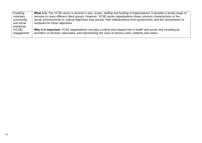| What it is: The VCSE sector is diverse in size, scope, staffing and funding of organisations. It provides a broad range of |
|----------------------------------------------------------------------------------------------------------------------------|
| services to many different client groups. However, VCSE sector organisations share common characteristics in the           |
| social, environmental or cultural objectives they pursue, their independence from government, and the reinvestment of      |
| surpluses for those objectives.                                                                                            |
|                                                                                                                            |
| Why it is important: VCSE organisations can play a critical and integral role in health and social care including as       |
| providers of services; advocates; and representing the voice of service users, patients and carers.                        |
|                                                                                                                            |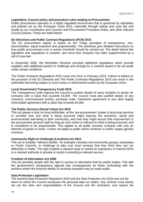# <span id="page-15-0"></span>**Legislation, Council policy and procedure rules relating to Procurement**

Public procurement operates in a highly regulated environment that is governed by legislation and policies set by the European Union (EU), nationally through statute and case law and locally by our Constitution and Contract and Procurement Procedure Rules, and other relevant Council policies. These are listed below:

# **EU Directives and Public Contract Regulations (PCR) 2015**

The EU procurement regime is based on the Treaty principles of transparency, nondiscrimination, equal treatment and proportionality. The directives give detailed instructions on how public procurement over a certain threshold should be carried out. The detail behind the legislation and regulations is complex, and since their inception has been supplemented by a raft of case law.

In December 2009, the Remedies Directive provided additional regulations which provide suppliers with additional powers to challenge and arrange for a contract award to be set aside under certain conditions.

The Public Contracts Regulations 2015 came into force in February 2015. Failure to adhere to the provision of the EU Directive and The Public Contracts Regulations 2015 can result in the authorities becoming subject to Court action or enforcement action by the European Union.

# **Local Government Transparency Code 2015**

The Transparency Code requires the Council to publish details of every invitation to tender for contracts with a value that exceeds £5,000. The Council must also publish details of any contracts, commissioned activity, purchase order, framework agreement or any other legally enforceable agreement with a value that exceeds £5,000.

# **The Public Services (Social Value) Act 2012**

This act places a duty on local authorities, at the 'pre-procurement' phase of procuring services to consider how and what is being procured might improve the economic, social and environmental well-being in their community; and how they might secure that improvement in the procurement process itself as long as such action is relevant to what is being procured, and is considered to be proportionate. This applies to all public services contracts with only an element of goods or works. It does not apply to public works contracts or public supply (goods) contracts.

# **Community Right to Challenge (Localism) Act 2012**

This act to enables "relevant bodies", for example voluntary and community groups, employees or Parish Councils, to challenge to take over local services that they think they can run differently or better. The right enables a relevant body to submit an expression of interest (EOI) to a relevant authority to provide or assist in providing a relevant service.

# **Freedom of Information Act 2000**

This act provides people with the right to access to information held by public bodies. This with the government's transparency agenda has consequences for those contracting with the partners where the financial details of contracts awarded may be made public.

# **Data Protection Legislation**

The General Data Protection Regulation 2016 and the Data Protection Act 2018 sets out the basis on which the Council processes the personal data we collect. Any contract must clearly set out the roles and responsibilities of the Council and the contractor, and require the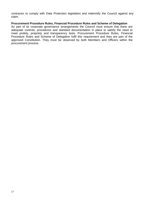contractor to comply with Data Protection legislation and indemnify the Council against any claim.

#### **Procurement Procedure Rules, Financial Procedure Rules and Scheme of Delegation**

As part of its corporate governance arrangements the Council must ensure that there are adequate controls, procedures and standard documentation in place to satisfy the need to meet probity, propriety and transparency tests. Procurement Procedure Rules, Financial Procedure Rules and Scheme of Delegation fulfil this requirement and they are part of the approved Constitution. They must be observed by both Members and Officers within the procurement process.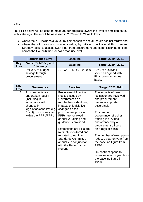# <span id="page-17-0"></span>**KPIs**

The KPI's below will be used to measure our progress toward the level of ambition set out in this strategy. These will be assessed in 2020 and 2021 as follows:

- where the KPI includes a value, by comparison of actual results against target; and
- where the KPI does not include a value, by utilising the National Procurement Strategy toolkit to assess (with input from procurement and commissioning officers across the Council) the Council's maturity level.

|                           | <b>Performance Level</b>                                                                                                                                                   | <b>Baseline</b>                                                                                                                                                                                                                                                                                                                                                                                                               | <b>Target 2020 - 2021</b>                                                                                                                                                                                                                                                                                                                                                                                                            |
|---------------------------|----------------------------------------------------------------------------------------------------------------------------------------------------------------------------|-------------------------------------------------------------------------------------------------------------------------------------------------------------------------------------------------------------------------------------------------------------------------------------------------------------------------------------------------------------------------------------------------------------------------------|--------------------------------------------------------------------------------------------------------------------------------------------------------------------------------------------------------------------------------------------------------------------------------------------------------------------------------------------------------------------------------------------------------------------------------------|
| <b>Key</b><br>Area        | <b>Value for Money and</b><br><b>Efficiency</b>                                                                                                                            | <b>Baseline</b>                                                                                                                                                                                                                                                                                                                                                                                                               | <b>Target 2020 - 2021</b>                                                                                                                                                                                                                                                                                                                                                                                                            |
| 1.                        | Delivery of budget<br>savings through<br>procurement.                                                                                                                      | $2019/20 - 1.5\%$ , £93,000                                                                                                                                                                                                                                                                                                                                                                                                   | 1.5% of qualifying<br>spend as agreed with<br>Finance on an annual<br>basis.                                                                                                                                                                                                                                                                                                                                                         |
| <b>Key</b><br><b>Area</b> | Governance                                                                                                                                                                 | <b>Baseline</b>                                                                                                                                                                                                                                                                                                                                                                                                               | <b>Target 2020-2021</b>                                                                                                                                                                                                                                                                                                                                                                                                              |
| 2.                        | Procurements are<br>undertaken legally<br>(including in<br>accordance with<br>changes in<br>legislation/case law e.g.<br>Brexit), consistently and<br>within the PPRs/FPRs | <b>Procurement Practice</b><br>Notices issued by<br>Government on a<br>regular basis identifying<br>impacts of legislative<br>changes on the<br>procurement process.<br>PPRs are reviewed<br>annually; training and<br>guidance is provided.<br><b>Exemptions of PPRs are</b><br>routinely monitored and<br>reported to Audit and<br><b>Standards Committee</b><br>annually in conjunction<br>with the Performance<br>Report. | The impacts of new<br>legislation are reviewed<br>and procurement<br>processes updated<br>accordingly.<br>Procurement<br>governance refresher<br>training is provided<br>and attended by all<br>procurement officers<br>on a regular basis.<br>The number of exemptions<br>reduced year on year from<br>the baseline figure from<br>19/20.<br>On-contract spend to<br>increase year on year from<br>the baseline figure in<br>19/20. |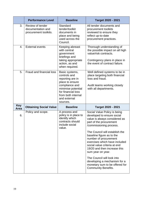|                    | <b>Performance Level</b>                                       | <b>Baseline</b>                                                                                                                                                                       | <b>Target 2020 - 2021</b>                                                                                                                                                                                                                                                                                                                                                                                                                                                                     |
|--------------------|----------------------------------------------------------------|---------------------------------------------------------------------------------------------------------------------------------------------------------------------------------------|-----------------------------------------------------------------------------------------------------------------------------------------------------------------------------------------------------------------------------------------------------------------------------------------------------------------------------------------------------------------------------------------------------------------------------------------------------------------------------------------------|
| 3.                 | Review of tender<br>documentation and<br>procurement toolkits. | Standard<br>tender/toolkit<br>documents in<br>place and being<br>used across the<br>Council.                                                                                          | All tender documents and<br>procurement toolkits<br>reviewed to ensure they<br>reflect up-to-date<br>procurement practices.                                                                                                                                                                                                                                                                                                                                                                   |
| 4.                 | <b>External events</b>                                         | Keeping abreast<br>with central<br>government<br>briefings and<br>taking appropriate<br>action, as and<br>when required.                                                              | Thorough understanding of<br>the possible impact on all high<br>value/risk contracts.<br>Contingency plans in place in<br>the event of contract failure.                                                                                                                                                                                                                                                                                                                                      |
| 5.                 | <b>Fraud and financial loss</b>                                | Basic systems,<br>controls and<br>reporting are in<br>place to ensure<br>compliance and<br>minimise potential<br>for financial loss<br>from both internal<br>and external<br>sources. | Well defined systems to be in<br>place targeting both financial<br>loss and fraud.<br>Audit teams working closely<br>with all departments.                                                                                                                                                                                                                                                                                                                                                    |
| <b>Key</b><br>Area | <b>Obtaining Social Value</b>                                  | <b>Baseline</b>                                                                                                                                                                       | <b>Target 2020 - 2021</b>                                                                                                                                                                                                                                                                                                                                                                                                                                                                     |
| 6.                 | Policy and scope.                                              | A process and<br>policy is in place to<br>identify which<br>contracts should<br>include social<br>value.                                                                              | Social Value Policy is being<br>developed to ensure social<br>value is always considered as<br>part of the procurement<br>/commissioning process.<br>The Council will establish the<br>baseline figure as to the<br>number of procurement<br>exercises which have included<br>social value criteria at end<br>19/20 and then increase this<br>sum year on year.<br>The Council will look into<br>developing a mechanism for a<br>monetary sum to be offered for<br><b>Community Benefits.</b> |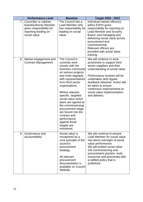|    | <b>Performance Level</b>                                                                                             | <b>Baseline</b>                                                                                                                                                                                                                                                                                                                                                                                                              | <b>Target 2020 - 2021</b>                                                                                                                                                                                                                                                                                               |
|----|----------------------------------------------------------------------------------------------------------------------|------------------------------------------------------------------------------------------------------------------------------------------------------------------------------------------------------------------------------------------------------------------------------------------------------------------------------------------------------------------------------------------------------------------------------|-------------------------------------------------------------------------------------------------------------------------------------------------------------------------------------------------------------------------------------------------------------------------------------------------------------------------|
| 7. | Councillor or cabinet<br>board/authority Member<br>given responsibility for<br>reporting leading on<br>social value. | The Council has a<br>Lead Member who<br>has responsibility for<br>leading on social<br>value.                                                                                                                                                                                                                                                                                                                                | Individual named officer(s)<br>within ESPH given<br>responsibility for reporting to<br><b>Lead Member and Scrutiny</b><br>Board, and managing and<br>delivering social value across<br>procurement and<br>commissioning.<br>Relevant officers are<br>provided with social value<br>training.                            |
| 8. | Market engagement and<br><b>Contract Management</b>                                                                  | The Council is<br>currently work<br>closely with the<br>business community<br>on various projects<br>and meet regularly<br>with representatives<br>from third sector<br>organisations.<br>Where relevant,<br>specific, targeted<br>social value action<br>plans are agreed at<br>the commissioning/<br>procurement stage,<br>are bound into the<br>contract and<br>performance<br>against those<br>targets are<br>monitored. | We will continue to work<br>proactively to support third<br>sector suppliers and their<br>understanding of social value.<br>Performance reviews will be<br>undertaken and regular<br>feedback obtained. Action will<br>be taken to ensure<br>continuous improvements to<br>social value implementation<br>and delivery. |
| 9. | Governance and<br>accountability                                                                                     | Social value is<br>recognised as a<br>core principle of the<br>council's<br>procurement<br>strategy.<br>All relevant<br>procurement<br>documentation is<br>available on Council<br>Website.                                                                                                                                                                                                                                  | We will continue to ensure<br>Lead Member for social value<br>has direct oversight of social<br>value performance.<br>We will embed social value<br>into commissioning and<br>procurement practice, tools,<br>resources and processes with<br>a ratified policy that is<br>published.                                   |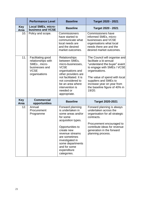|                    | <b>Performance Level</b>                                                                                  | <b>Baseline</b>                                                                                                                                                                                                                                        | <b>Target 2020 - 2021</b>                                                                                                                                                                                                                                                  |
|--------------------|-----------------------------------------------------------------------------------------------------------|--------------------------------------------------------------------------------------------------------------------------------------------------------------------------------------------------------------------------------------------------------|----------------------------------------------------------------------------------------------------------------------------------------------------------------------------------------------------------------------------------------------------------------------------|
| <b>Key</b><br>Area | <b>Local SMEs, micro-</b><br>business and VCSE                                                            | <b>Baseline</b>                                                                                                                                                                                                                                        | Target 2020 - 2021                                                                                                                                                                                                                                                         |
| 10.                | Policy and scope.                                                                                         | Commissioners<br>have started to<br>communicate what<br>local needs are<br>and the desired<br>market outcomes.                                                                                                                                         | <b>Commissioners have</b><br>informed SMEs, micro-<br>businesses and VCSE<br>organisations what local<br>needs there are and the<br>desired market outcomes.                                                                                                               |
| 11.                | Facilitating good<br>relationships with<br>SMEs, micro-<br>businesses and<br><b>VCSE</b><br>organisations | Relationships<br>between SMEs,<br>micro-businesses,<br><b>VCSE</b><br>organisations and<br>other providers are<br>not facilitated. It is<br>not considered to<br>be an area where<br>intervention is<br>needed or<br>appropriate.                      | The Council will organise and<br>facilitate a bi-annual<br>"understand the buyer" event<br>to engage with SMEs / VCSE<br>organisations.<br>The value of spend with local<br>suppliers and SMEs to<br>increase year on year from<br>the baseline figure of 40% in<br>19/20. |
| <b>Key</b><br>Area | <b>Commercial</b><br>opportunities                                                                        | <b>Baseline</b>                                                                                                                                                                                                                                        | <b>Target 2020-2021</b>                                                                                                                                                                                                                                                    |
| 12.                | Annual<br>Procurement<br>Programme                                                                        | Forward planning<br>is undertaken in<br>some areas and/or<br>for some<br>acquisition types.<br>Opportunities to<br>create new<br>revenue streams<br>are sometimes<br>investigated in<br>some departments<br>and for some<br>expenditure<br>categories. | Forward planning is always<br>undertaken across the<br>organisation for all strategic<br>contracts.<br>Procurement encouraged to<br>contribute ideas for revenue<br>generation in the forward<br>planning process.                                                         |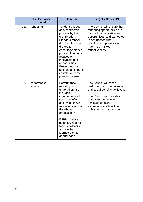|     | <b>Performance</b><br><b>Level</b> | <b>Baseline</b>                                                                                                                                                                                                                                                                                              | <b>Target 2020 - 2021</b>                                                                                                                                                                                                    |
|-----|------------------------------------|--------------------------------------------------------------------------------------------------------------------------------------------------------------------------------------------------------------------------------------------------------------------------------------------------------------|------------------------------------------------------------------------------------------------------------------------------------------------------------------------------------------------------------------------------|
| 13. | Tendering                          | Tendering is seen<br>as a commercial<br>process by the<br>organisation.<br>Standard tender<br>documentation is<br>drafted to<br>encourage bidder<br>participation and is<br>focused on<br>innovation and<br>opportunities.<br>Procurement is<br>seen as an integral<br>contributor to the<br>planning phase. | The Council will ensure that<br>tendering opportunities are<br>focused on innovation and<br>opportunities, and carried out<br>in conjunction with<br>development partners to<br>maximise market<br>attractiveness.           |
| 14. | Performance<br>reporting           | Performance<br>reporting is<br>undertaken and<br>includes<br>commercial and<br>social benefits<br>achieved, as well<br>as savings across<br>the whole<br>organisation.<br><b>ESPH</b> produce<br>summary reports<br>for chief officers<br>and elected<br>Members on an<br>annual basis.                      | The Council will report<br>performance on commercial<br>and social benefits achieved.<br>The Council will provide an<br>annual report covering<br>achievements and<br>aspirations which will be<br>published on our website. |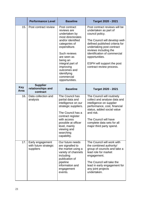|                    | <b>Performance Level</b>                               | <b>Baseline</b>                                                                                                                                                                                                                                                     | <b>Target 2020 - 2021</b>                                                                                                                                                                                                                                                                                              |
|--------------------|--------------------------------------------------------|---------------------------------------------------------------------------------------------------------------------------------------------------------------------------------------------------------------------------------------------------------------------|------------------------------------------------------------------------------------------------------------------------------------------------------------------------------------------------------------------------------------------------------------------------------------------------------------------------|
| 15.                | Post contract review                                   | Post contract<br>reviews are<br>undertaken by<br>most directorates<br>and/or identified<br>categories of<br>expenditure.<br>Such reviews<br>are seen as<br>being an<br>integral part of<br>improving<br>outcomes and<br>identifying<br>commercial<br>opportunities. | Post contract reviews will be<br>undertaken as part of<br>council policy.<br>The Council will develop well-<br>defined published criteria for<br>undertaking post contract<br>reviews including the<br>identification of commercial<br>opportunities.<br><b>ESPH will support the post</b><br>contract review process. |
| <b>Key</b><br>Area | <b>Supplier</b><br>relationships and<br>contract       | <b>Baseline</b>                                                                                                                                                                                                                                                     | Target 2020 - 2021                                                                                                                                                                                                                                                                                                     |
| 16.                | Data collection and<br>analysis                        | The Council has<br>partial data and<br>intelligence on our<br>strategic suppliers.<br>The Council has a<br>contract register<br>with access<br>possible at officer<br>level, mainly<br>viewing and<br>searching<br>capability.                                      | The Council will routinely<br>collect and analyse data and<br>intelligence on supplier<br>performance, cost, financial<br>status, added social value<br>and risk.<br>The Council will have<br>complete data sets for all<br>major third party spend.                                                                   |
| 17.                | Early engagement<br>with future strategic<br>suppliers | Our future needs<br>are signalled to<br>the market using a<br>variety of channels<br>including<br>publication of<br>pipeline<br>information and<br>engagement<br>events.                                                                                            | The Council will work with<br>the combined authority/<br>group of councils and take a<br>lead role for market<br>engagement.<br>The Council will take the<br>lead in early engagement for<br>any joint projects<br>undertaken.                                                                                         |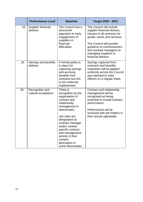|     | <b>Performance Level</b>               | <b>Baseline</b>                                                                                                                                                                                                                                                                                            | <b>Target 2020 - 2021</b>                                                                                                                                                                                                                                  |
|-----|----------------------------------------|------------------------------------------------------------------------------------------------------------------------------------------------------------------------------------------------------------------------------------------------------------------------------------------------------------|------------------------------------------------------------------------------------------------------------------------------------------------------------------------------------------------------------------------------------------------------------|
| 18. | Supplier financial<br>distress         | The Council has a<br>structured<br>approach to early<br>engagement of<br>suppliers in<br>financial<br>difficulties.                                                                                                                                                                                        | The Council will include<br>supplier financial distress<br>clauses in all contracts for<br>goods, works and services.<br>The Council will provide<br>guidance to commissioners<br>and contract managers on<br>managing suppliers in<br>financial distress. |
| 19. | Savings and benefits<br>delivery       | A formal policy is<br>in place for<br>capturing savings<br>and accruing<br>benefits from<br>contracts but this<br>is not uniformly<br>implemented.                                                                                                                                                         | Savings captured from<br>contracts and benefits-<br>realisation will be applied<br>uniformly across the Council<br>and reported to chief<br>officers on a regular basis.                                                                                   |
| 20. | Recognition and<br>cultural acceptance | There is<br>recognition by the<br>organisation of<br>contract and<br>relationship<br>management in<br>directorates.<br>Job roles are<br>designated as<br>contract manager<br>and/or contain<br>specific contract<br>and management<br>activity in their<br>content<br>description in<br>some directorates. | Contract and relationship<br>management will be<br>recognised as being<br>essential to overall contract<br>performance.<br>Performance will be<br>reviewed with job holders in<br>their annual appraisals.                                                 |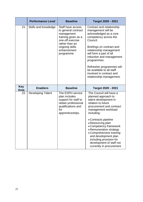|                           | <b>Performance Level</b> | <b>Baseline</b>                                                                                                                                                    | <b>Target 2020 - 2021</b>                                                                                                                                                                                                                                                                                                                                                                               |
|---------------------------|--------------------------|--------------------------------------------------------------------------------------------------------------------------------------------------------------------|---------------------------------------------------------------------------------------------------------------------------------------------------------------------------------------------------------------------------------------------------------------------------------------------------------------------------------------------------------------------------------------------------------|
| 21.                       | Skills and knowledge     | Staff have access<br>to general contract<br>management<br>training given as a<br>one-off exercise<br>rather than an<br>ongoing skills<br>enhancement<br>programme. | Contract and relationship<br>management will be<br>acknowledged as a core<br>competency across the<br>Council.<br>Briefings on contract and<br>relationship management<br>will form a part of all<br>induction and management<br>programmes.<br>Refresher programmes will<br>be available to all staff<br>involved in contract and<br>relationship management.                                          |
| <b>Key</b><br><b>Area</b> | <b>Enablers</b>          | <b>Baseline</b>                                                                                                                                                    | <b>Target 2020 - 2021</b>                                                                                                                                                                                                                                                                                                                                                                               |
| 22.                       | <b>Developing Talent</b> | The ESPH service<br>plan includes<br>support for staff to<br>obtain professional<br>qualifications and<br>for<br>apprenticeships.                                  | The Council will have a<br>planned approach to<br>talent development in<br>relation to future<br>procurement and contract<br>management workload<br>including:<br>• Contracts pipeline<br>• Resourcing plan<br>• Competency framework<br>• Remuneration strategy<br>• Comprehensive training<br>and development plan<br>including provision for<br>development of staff not<br>currently in procurement |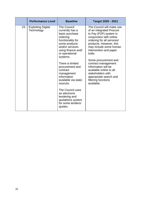|     | <b>Performance Level</b>                | <b>Baseline</b>                                                                                                                                                                                                                                                                                                                                                                                                 | Target 2020 - 2021                                                                                                                                                                                                                                                                                                                                                                                                      |
|-----|-----------------------------------------|-----------------------------------------------------------------------------------------------------------------------------------------------------------------------------------------------------------------------------------------------------------------------------------------------------------------------------------------------------------------------------------------------------------------|-------------------------------------------------------------------------------------------------------------------------------------------------------------------------------------------------------------------------------------------------------------------------------------------------------------------------------------------------------------------------------------------------------------------------|
| 23. | <b>Exploiting Digital</b><br>Technology | <b>The Council</b><br>currently has a<br>basic purchase<br>ordering<br>functionality for<br>some products<br>and/or services<br>using finance and/<br>or operational<br>systems.<br>There is limited<br>procurement and<br>contract<br>management<br>information<br>available via static<br>sources.<br>The Council uses<br>an electronic<br>tendering and<br>quotations system<br>for some tenders/<br>quotes. | The Council will make use<br>of an integrated Procure<br>to Pay (P2P) system in<br>conjunction with online<br>ordering for all services/<br>products. However, this<br>may include some human<br>intervention and paper<br>trails.<br>Some procurement and<br>contract management<br>Information will be<br>available online to all<br>stakeholders with<br>appropriate search and<br>filtering functions<br>available. |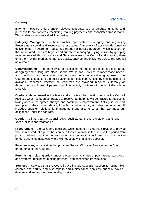# <span id="page-26-0"></span>**Glossary**

**Buying** – placing orders under relevant contracts, use of purchasing cards and purchase-to-pay systems, receipting, making payments and associated transactions. This is also sometimes called Purchasing.

**Category Management –** best practice approach to managing and organising Procurement spend and resources; a structured framework of activities designed to deliver better Procurement outcomes through a holistic approach which focuses on the interrelated needs of buyers and suppliers; managing buying activity by grouping together related Goods, Works and Services across the Council and mapping them onto the Provider market, to improve quality, savings and efficiency across the Council as a whole.

**Commissioning** – the entire cycle of assessing the needs of people in a local area, designing and putting into place Goods, Works and Services to meet those needs, and monitoring and evaluating the outcomes. In a commissioning approach, the Council seeks to secure the best outcomes for local communities by making use of all available resources, whether the resources are provided in-house, externally or through various forms of partnership. This activity continues throughout the Whole Lifecycle.

**Contract Management** – the tasks and activities which seek to ensure the Council receives what has been contracted to receive, at the price we contracted to receive it, taking account of agreed change and continuous improvement. Activity is focused from prior to the contract starting though to contract expiry and de-commissioning. It includes supplier relationship management and also ensures that we meet our obligations under the contract.

**Goods –** things that the Council buys, such as pens and paper, or plants and seeds, or fruit and vegetables.

**Procurement** – the tasks and decisions which secure an external Provider to provide what is required, at a price that can be afforded. Activity is focused on the period from prior to advertising a tender to signing the contract. It includes both competitive tenders and circumstances where we negotiate with a single supplier.

**Provider** – any organisation that provides Goods, Works or Services to the Council or on behalf of the Council.

**Purchasing** – placing orders under relevant contracts, use of purchase-to-pay cards and systems, receipting, making payment, and associated transactions.

**Services** – services that the Council buys include specialist support for vulnerable children and adults, and also repairs and maintenance services, financial advice, designs and surveys for new building works.